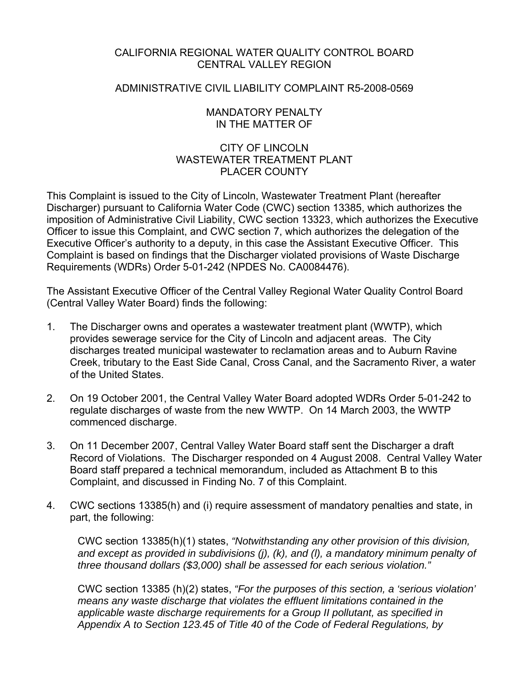# CALIFORNIA REGIONAL WATER QUALITY CONTROL BOARD CENTRAL VALLEY REGION

### ADMINISTRATIVE CIVIL LIABILITY COMPLAINT R5-2008-0569

### MANDATORY PENALTY IN THE MATTER OF

# CITY OF LINCOLN WASTEWATER TREATMENT PI ANT PLACER COUNTY

This Complaint is issued to the City of Lincoln, Wastewater Treatment Plant (hereafter Discharger) pursuant to California Water Code (CWC) section 13385, which authorizes the imposition of Administrative Civil Liability, CWC section 13323, which authorizes the Executive Officer to issue this Complaint, and CWC section 7, which authorizes the delegation of the Executive Officer's authority to a deputy, in this case the Assistant Executive Officer. This Complaint is based on findings that the Discharger violated provisions of Waste Discharge Requirements (WDRs) Order 5-01-242 (NPDES No. CA0084476).

The Assistant Executive Officer of the Central Valley Regional Water Quality Control Board (Central Valley Water Board) finds the following:

- 1. The Discharger owns and operates a wastewater treatment plant (WWTP), which provides sewerage service for the City of Lincoln and adjacent areas. The City discharges treated municipal wastewater to reclamation areas and to Auburn Ravine Creek, tributary to the East Side Canal, Cross Canal, and the Sacramento River, a water of the United States.
- 2. On 19 October 2001, the Central Valley Water Board adopted WDRs Order 5-01-242 to regulate discharges of waste from the new WWTP. On 14 March 2003, the WWTP commenced discharge.
- 3. On 11 December 2007, Central Valley Water Board staff sent the Discharger a draft Record of Violations. The Discharger responded on 4 August 2008. Central Valley Water Board staff prepared a technical memorandum, included as Attachment B to this Complaint, and discussed in Finding No. 7 of this Complaint.
- 4. CWC sections 13385(h) and (i) require assessment of mandatory penalties and state, in part, the following:

CWC section 13385(h)(1) states, *"Notwithstanding any other provision of this division, and except as provided in subdivisions (j), (k), and (l), a mandatory minimum penalty of three thousand dollars (\$3,000) shall be assessed for each serious violation."* 

CWC section 13385 (h)(2) states, *"For the purposes of this section, a 'serious violation' means any waste discharge that violates the effluent limitations contained in the applicable waste discharge requirements for a Group II pollutant, as specified in Appendix A to Section 123.45 of Title 40 of the Code of Federal Regulations, by*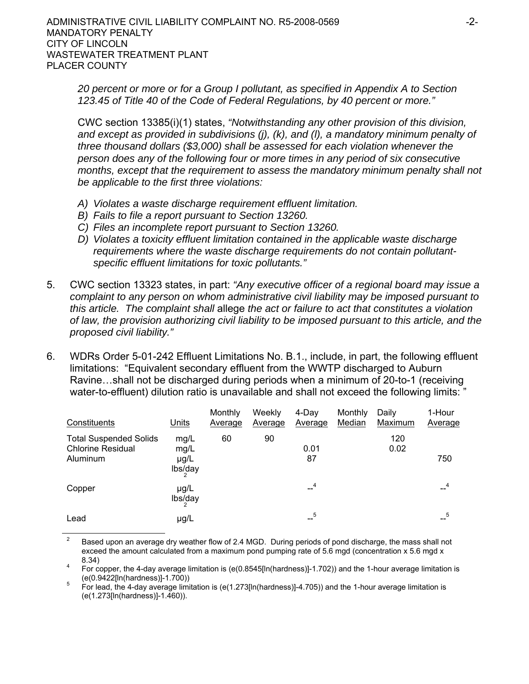*20 percent or more or for a Group I pollutant, as specified in Appendix A to Section 123.45 of Title 40 of the Code of Federal Regulations, by 40 percent or more."*

CWC section 13385(i)(1) states, *"Notwithstanding any other provision of this division, and except as provided in subdivisions (j), (k), and (l), a mandatory minimum penalty of three thousand dollars (\$3,000) shall be assessed for each violation whenever the person does any of the following four or more times in any period of six consecutive months, except that the requirement to assess the mandatory minimum penalty shall not be applicable to the first three violations:*

- *A) Violates a waste discharge requirement effluent limitation.*
- *B) Fails to file a report pursuant to Section 13260.*
- *C) Files an incomplete report pursuant to Section 13260.*
- *D) Violates a toxicity effluent limitation contained in the applicable waste discharge requirements where the waste discharge requirements do not contain pollutantspecific effluent limitations for toxic pollutants."*
- 5. CWC section 13323 states, in part: *"Any executive officer of a regional board may issue a complaint to any person on whom administrative civil liability may be imposed pursuant to this article. The complaint shall* allege *the act or failure to act that constitutes a violation of law, the provision authorizing civil liability to be imposed pursuant to this article, and the proposed civil liability."*
- 6. WDRs Order 5-01-242 Effluent Limitations No. B.1., include, in part, the following effluent limitations: "Equivalent secondary effluent from the WWTP discharged to Auburn Ravine…shall not be discharged during periods when a minimum of 20-to-1 (receiving water-to-effluent) dilution ratio is unavailable and shall not exceed the following limits: "

| Constituents                                                          | Units                                | Monthly<br>Average | Weekly<br>Average | 4-Day<br>Average      | Monthly<br>Median | Daily<br>Maximum | 1-Hour<br>Average |
|-----------------------------------------------------------------------|--------------------------------------|--------------------|-------------------|-----------------------|-------------------|------------------|-------------------|
| <b>Total Suspended Solids</b><br><b>Chlorine Residual</b><br>Aluminum | mg/L<br>mg/L<br>$\mu$ g/L<br>lbs/day | 60                 | 90                | 0.01<br>87            |                   | 120<br>0.02      | 750               |
| Copper                                                                | $\mu$ g/L<br>lbs/day                 |                    |                   | $-4$                  |                   |                  | $-4$              |
| Lead                                                                  | µg/L                                 |                    |                   | $5\overline{)}$<br>-- |                   |                  | 5<br>--           |

<sup>2</sup> Based upon an average dry weather flow of 2.4 MGD. During periods of pond discharge, the mass shall not exceed the amount calculated from a maximum pond pumping rate of 5.6 mgd (concentration x 5.6 mgd x  $\frac{8.34}{5}$ 

For copper, the 4-day average limitation is (e(0.8545[ln(hardness)]-1.702)) and the 1-hour average limitation is  $(e(0.9422[In(hardness)]-1.700))$ 

For lead, the 4-day average limitation is (e(1.273[ln(hardness)]-4.705)) and the 1-hour average limitation is (e(1.273[ln(hardness)]-1.460)).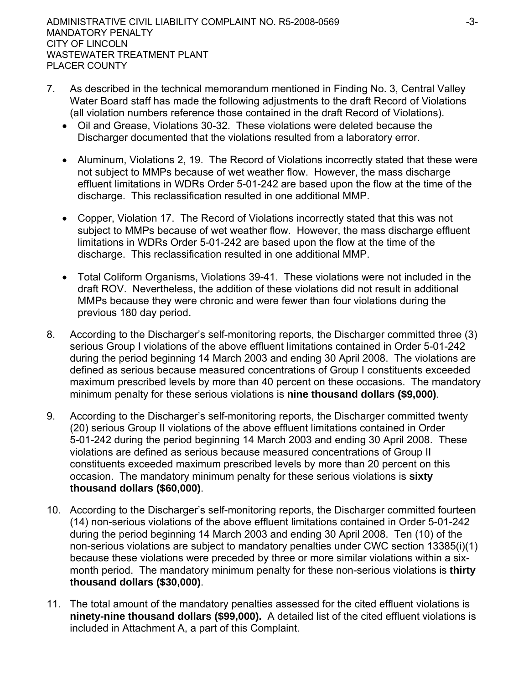- 7. As described in the technical memorandum mentioned in Finding No. 3, Central Valley Water Board staff has made the following adjustments to the draft Record of Violations (all violation numbers reference those contained in the draft Record of Violations).
	- Oil and Grease, Violations 30-32. These violations were deleted because the Discharger documented that the violations resulted from a laboratory error.
	- Aluminum, Violations 2, 19. The Record of Violations incorrectly stated that these were not subject to MMPs because of wet weather flow. However, the mass discharge effluent limitations in WDRs Order 5-01-242 are based upon the flow at the time of the discharge. This reclassification resulted in one additional MMP.
	- Copper, Violation 17. The Record of Violations incorrectly stated that this was not subject to MMPs because of wet weather flow. However, the mass discharge effluent limitations in WDRs Order 5-01-242 are based upon the flow at the time of the discharge. This reclassification resulted in one additional MMP.
	- Total Coliform Organisms, Violations 39-41. These violations were not included in the draft ROV. Nevertheless, the addition of these violations did not result in additional MMPs because they were chronic and were fewer than four violations during the previous 180 day period.
- 8. According to the Discharger's self-monitoring reports, the Discharger committed three (3) serious Group I violations of the above effluent limitations contained in Order 5-01-242 during the period beginning 14 March 2003 and ending 30 April 2008. The violations are defined as serious because measured concentrations of Group I constituents exceeded maximum prescribed levels by more than 40 percent on these occasions. The mandatory minimum penalty for these serious violations is **nine thousand dollars (\$9,000)**.
- 9. According to the Discharger's self-monitoring reports, the Discharger committed twenty (20) serious Group II violations of the above effluent limitations contained in Order 5-01-242 during the period beginning 14 March 2003 and ending 30 April 2008. These violations are defined as serious because measured concentrations of Group II constituents exceeded maximum prescribed levels by more than 20 percent on this occasion. The mandatory minimum penalty for these serious violations is **sixty thousand dollars (\$60,000)**.
- 10. According to the Discharger's self-monitoring reports, the Discharger committed fourteen (14) non-serious violations of the above effluent limitations contained in Order 5-01-242 during the period beginning 14 March 2003 and ending 30 April 2008. Ten (10) of the non-serious violations are subject to mandatory penalties under CWC section 13385(i)(1) because these violations were preceded by three or more similar violations within a sixmonth period. The mandatory minimum penalty for these non-serious violations is **thirty thousand dollars (\$30,000)**.
- 11. The total amount of the mandatory penalties assessed for the cited effluent violations is **ninety-nine thousand dollars (\$99,000).** A detailed list of the cited effluent violations is included in Attachment A, a part of this Complaint.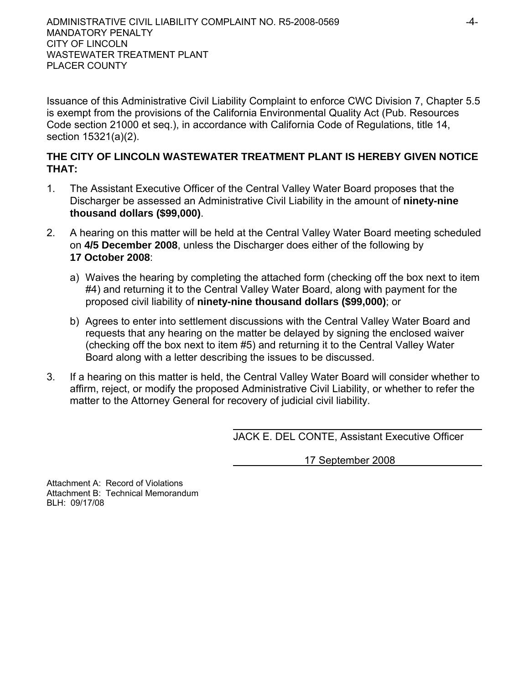Issuance of this Administrative Civil Liability Complaint to enforce CWC Division 7, Chapter 5.5 is exempt from the provisions of the California Environmental Quality Act (Pub. Resources Code section 21000 et seq.), in accordance with California Code of Regulations, title 14, section 15321(a)(2).

# **THE CITY OF LINCOLN WASTEWATER TREATMENT PLANT IS HEREBY GIVEN NOTICE THAT:**

- 1. The Assistant Executive Officer of the Central Valley Water Board proposes that the Discharger be assessed an Administrative Civil Liability in the amount of **ninety-nine thousand dollars (\$99,000)**.
- 2. A hearing on this matter will be held at the Central Valley Water Board meeting scheduled on **4/5 December 2008**, unless the Discharger does either of the following by **17 October 2008**:
	- a) Waives the hearing by completing the attached form (checking off the box next to item #4) and returning it to the Central Valley Water Board, along with payment for the proposed civil liability of **ninety-nine thousand dollars (\$99,000)**; or
	- b) Agrees to enter into settlement discussions with the Central Valley Water Board and requests that any hearing on the matter be delayed by signing the enclosed waiver (checking off the box next to item #5) and returning it to the Central Valley Water Board along with a letter describing the issues to be discussed.
- 3. If a hearing on this matter is held, the Central Valley Water Board will consider whether to affirm, reject, or modify the proposed Administrative Civil Liability, or whether to refer the matter to the Attorney General for recovery of judicial civil liability.

JACK E. DEL CONTE, Assistant Executive Officer

17 September 2008

Attachment A: Record of Violations Attachment B: Technical Memorandum BLH: 09/17/08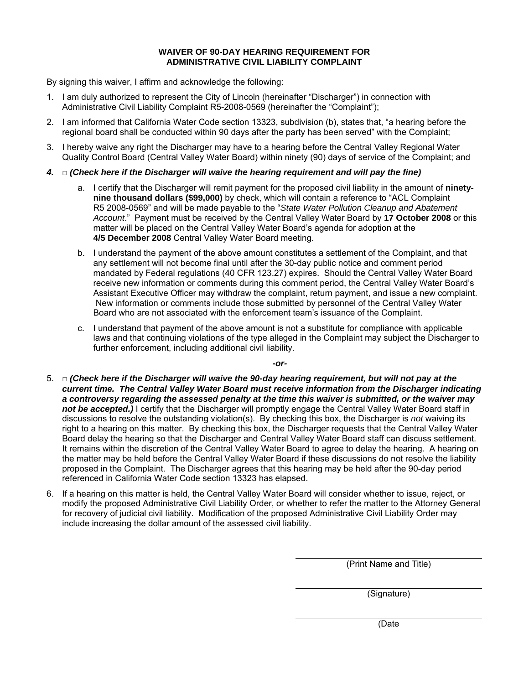#### **WAIVER OF 90-DAY HEARING REQUIREMENT FOR ADMINISTRATIVE CIVIL LIABILITY COMPLAINT**

By signing this waiver, I affirm and acknowledge the following:

- 1. I am duly authorized to represent the City of Lincoln (hereinafter "Discharger") in connection with Administrative Civil Liability Complaint R5-2008-0569 (hereinafter the "Complaint");
- 2. I am informed that California Water Code section 13323, subdivision (b), states that, "a hearing before the regional board shall be conducted within 90 days after the party has been served" with the Complaint;
- 3. I hereby waive any right the Discharger may have to a hearing before the Central Valley Regional Water Quality Control Board (Central Valley Water Board) within ninety (90) days of service of the Complaint; and
- *4.* □ *(Check here if the Discharger will waive the hearing requirement and will pay the fine)* 
	- a. I certify that the Discharger will remit payment for the proposed civil liability in the amount of **ninetynine thousand dollars (\$99,000)** by check, which will contain a reference to "ACL Complaint R5 2008-0569" and will be made payable to the "*State Water Pollution Cleanup and Abatement Account*." Payment must be received by the Central Valley Water Board by **17 October 2008** or this matter will be placed on the Central Valley Water Board's agenda for adoption at the **4/5 December 2008** Central Valley Water Board meeting.
	- b. I understand the payment of the above amount constitutes a settlement of the Complaint, and that any settlement will not become final until after the 30-day public notice and comment period mandated by Federal regulations (40 CFR 123.27) expires. Should the Central Valley Water Board receive new information or comments during this comment period, the Central Valley Water Board's Assistant Executive Officer may withdraw the complaint, return payment, and issue a new complaint. New information or comments include those submitted by personnel of the Central Valley Water Board who are not associated with the enforcement team's issuance of the Complaint.
	- c. I understand that payment of the above amount is not a substitute for compliance with applicable laws and that continuing violations of the type alleged in the Complaint may subject the Discharger to further enforcement, including additional civil liability.

*-or-*

- 5. □ *(Check here if the Discharger will waive the 90-day hearing requirement, but will not pay at the current time. The Central Valley Water Board must receive information from the Discharger indicating a controversy regarding the assessed penalty at the time this waiver is submitted, or the waiver may*  not be accepted.) I certify that the Discharger will promptly engage the Central Valley Water Board staff in discussions to resolve the outstanding violation(s). By checking this box, the Discharger is *not* waiving its right to a hearing on this matter. By checking this box, the Discharger requests that the Central Valley Water Board delay the hearing so that the Discharger and Central Valley Water Board staff can discuss settlement. It remains within the discretion of the Central Valley Water Board to agree to delay the hearing. A hearing on the matter may be held before the Central Valley Water Board if these discussions do not resolve the liability proposed in the Complaint. The Discharger agrees that this hearing may be held after the 90-day period referenced in California Water Code section 13323 has elapsed.
- 6. If a hearing on this matter is held, the Central Valley Water Board will consider whether to issue, reject, or modify the proposed Administrative Civil Liability Order, or whether to refer the matter to the Attorney General for recovery of judicial civil liability. Modification of the proposed Administrative Civil Liability Order may include increasing the dollar amount of the assessed civil liability.

(Print Name and Title)

(Signature)

(Date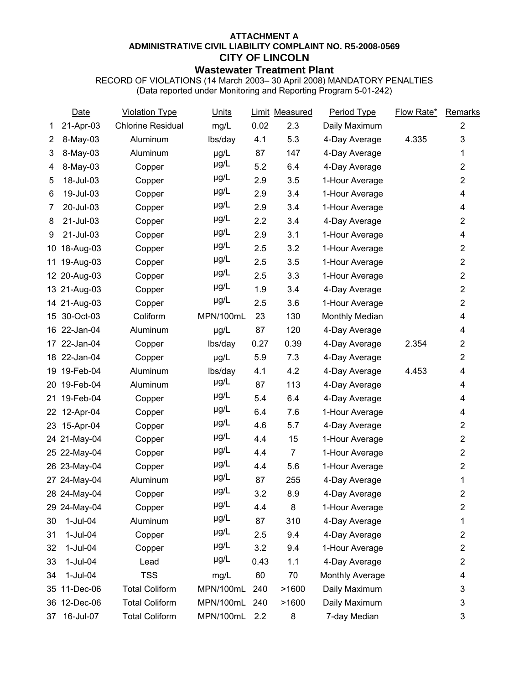### **ATTACHMENT A ADMINISTRATIVE CIVIL LIABILITY COMPLAINT NO. R5-2008-0569 CITY OF LINCOLN Wastewater Treatment Plant**

RECORD OF VIOLATIONS (14 March 2003– 30 April 2008) MANDATORY PENALTIES (Data reported under Monitoring and Reporting Program 5-01-242)

|    | Date         | <b>Violation Type</b>    | <b>Units</b>  |      | Limit Measured | Period Type            | <b>Flow Rate*</b> | <b>Remarks</b>            |
|----|--------------|--------------------------|---------------|------|----------------|------------------------|-------------------|---------------------------|
| 1. | 21-Apr-03    | <b>Chlorine Residual</b> | mg/L          | 0.02 | 2.3            | Daily Maximum          |                   | 2                         |
| 2  | 8-May-03     | Aluminum                 | lbs/day       | 4.1  | 5.3            | 4-Day Average          | 4.335             | 3                         |
| 3  | 8-May-03     | Aluminum                 | µg/L          | 87   | 147            | 4-Day Average          |                   | 1                         |
| 4  | 8-May-03     | Copper                   | µg/L          | 5.2  | 6.4            | 4-Day Average          |                   | $\overline{c}$            |
| 5  | 18-Jul-03    | Copper                   | µg/L          | 2.9  | 3.5            | 1-Hour Average         |                   | $\overline{\mathbf{c}}$   |
| 6  | 19-Jul-03    | Copper                   | µg/L          | 2.9  | 3.4            | 1-Hour Average         |                   | 4                         |
| 7  | 20-Jul-03    | Copper                   | µg/L          | 2.9  | 3.4            | 1-Hour Average         |                   | 4                         |
| 8  | 21-Jul-03    | Copper                   | µg/L          | 2.2  | 3.4            | 4-Day Average          |                   | $\overline{\mathbf{c}}$   |
| 9  | 21-Jul-03    | Copper                   | µg/L          | 2.9  | 3.1            | 1-Hour Average         |                   | 4                         |
| 10 | 18-Aug-03    | Copper                   | µg/L          | 2.5  | 3.2            | 1-Hour Average         |                   | $\overline{\mathbf{c}}$   |
| 11 | 19-Aug-03    | Copper                   | µg/L          | 2.5  | 3.5            | 1-Hour Average         |                   | $\overline{\mathbf{c}}$   |
|    | 12 20-Aug-03 | Copper                   | µg/L          | 2.5  | 3.3            | 1-Hour Average         |                   | $\overline{c}$            |
|    | 13 21-Aug-03 | Copper                   | µg/L          | 1.9  | 3.4            | 4-Day Average          |                   | $\overline{c}$            |
|    | 14 21-Aug-03 | Copper                   | µg/L          | 2.5  | 3.6            | 1-Hour Average         |                   | $\overline{c}$            |
| 15 | 30-Oct-03    | Coliform                 | MPN/100mL     | 23   | 130            | Monthly Median         |                   | 4                         |
|    | 16 22-Jan-04 | Aluminum                 | µg/L          | 87   | 120            | 4-Day Average          |                   | 4                         |
| 17 | 22-Jan-04    | Copper                   | lbs/day       | 0.27 | 0.39           | 4-Day Average          | 2.354             | $\sqrt{2}$                |
|    | 18 22-Jan-04 | Copper                   | $\mu$ g/L     | 5.9  | 7.3            | 4-Day Average          |                   | $\overline{2}$            |
|    | 19 19-Feb-04 | Aluminum                 | lbs/day       | 4.1  | 4.2            | 4-Day Average          | 4.453             | 4                         |
| 20 | 19-Feb-04    | Aluminum                 | µg/L          | 87   | 113            | 4-Day Average          |                   | 4                         |
| 21 | 19-Feb-04    | Copper                   | µg/L          | 5.4  | 6.4            | 4-Day Average          |                   | 4                         |
| 22 | 12-Apr-04    | Copper                   | µg/L          | 6.4  | 7.6            | 1-Hour Average         |                   | 4                         |
| 23 | 15-Apr-04    | Copper                   | µg/L          | 4.6  | 5.7            | 4-Day Average          |                   | $\overline{\mathbf{c}}$   |
|    | 24 21-May-04 | Copper                   | µg/L          | 4.4  | 15             | 1-Hour Average         |                   | $\overline{c}$            |
|    | 25 22-May-04 | Copper                   | µg/L          | 4.4  | $\overline{7}$ | 1-Hour Average         |                   | $\overline{\mathbf{c}}$   |
|    | 26 23-May-04 | Copper                   | µg/L          | 4.4  | 5.6            | 1-Hour Average         |                   | $\overline{c}$            |
|    | 27 24-May-04 | Aluminum                 | µg/L          | 87   | 255            | 4-Day Average          |                   | 1                         |
|    | 28 24-May-04 | Copper                   | µg/L          | 3.2  | 8.9            | 4-Day Average          |                   | 2                         |
|    | 29 24-May-04 | Copper                   | $\mu g/L$     | 4.4  | 8              | 1-Hour Average         |                   | $\overline{\mathbf{c}}$   |
| 30 | $1$ -Jul-04  | Aluminum                 | µg/L          | 87   | 310            | 4-Day Average          |                   | 1                         |
| 31 | $1$ -Jul-04  | Copper                   | µg/L          | 2.5  | 9.4            | 4-Day Average          |                   | $\overline{\mathbf{c}}$   |
| 32 | $1-Jul-04$   | Copper                   | µg/L          | 3.2  | 9.4            | 1-Hour Average         |                   | $\overline{\mathbf{c}}$   |
| 33 | $1$ -Jul-04  | Lead                     | µg/L          | 0.43 | 1.1            | 4-Day Average          |                   | 2                         |
| 34 | $1$ -Jul-04  | <b>TSS</b>               | mg/L          | 60   | 70             | <b>Monthly Average</b> |                   | 4                         |
| 35 | 11-Dec-06    | <b>Total Coliform</b>    | MPN/100mL     | 240  | >1600          | Daily Maximum          |                   | 3                         |
| 36 | 12-Dec-06    | <b>Total Coliform</b>    | MPN/100mL 240 |      | >1600          | Daily Maximum          |                   | $\ensuremath{\mathsf{3}}$ |
| 37 | 16-Jul-07    | <b>Total Coliform</b>    | MPN/100mL 2.2 |      | 8              | 7-day Median           |                   | 3                         |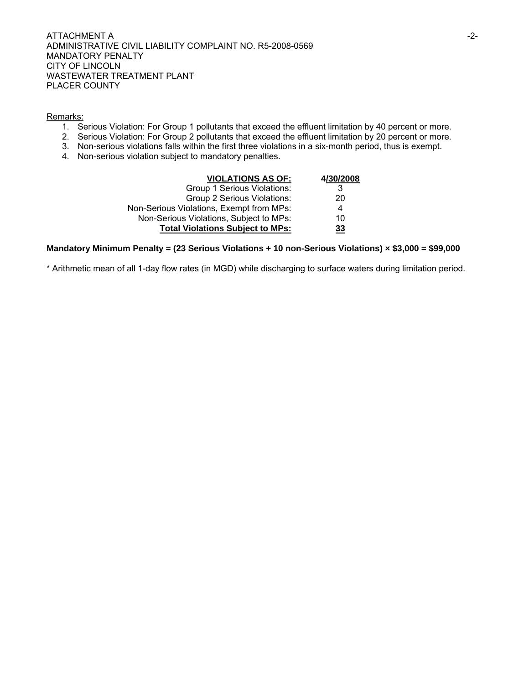#### Remarks:

- 1. Serious Violation: For Group 1 pollutants that exceed the effluent limitation by 40 percent or more.
- 2. Serious Violation: For Group 2 pollutants that exceed the effluent limitation by 20 percent or more.
- 3. Non-serious violations falls within the first three violations in a six-month period, thus is exempt.
- 4. Non-serious violation subject to mandatory penalties.

| <b>VIOLATIONS AS OF:</b>                 | 4/30/2008 |
|------------------------------------------|-----------|
| Group 1 Serious Violations:              | 3         |
| Group 2 Serious Violations:              | 20        |
| Non-Serious Violations, Exempt from MPs: | 4         |
| Non-Serious Violations, Subject to MPs:  | 10        |
| <b>Total Violations Subject to MPs:</b>  | 33        |

#### **Mandatory Minimum Penalty = (23 Serious Violations + 10 non-Serious Violations) × \$3,000 = \$99,000**

\* Arithmetic mean of all 1-day flow rates (in MGD) while discharging to surface waters during limitation period.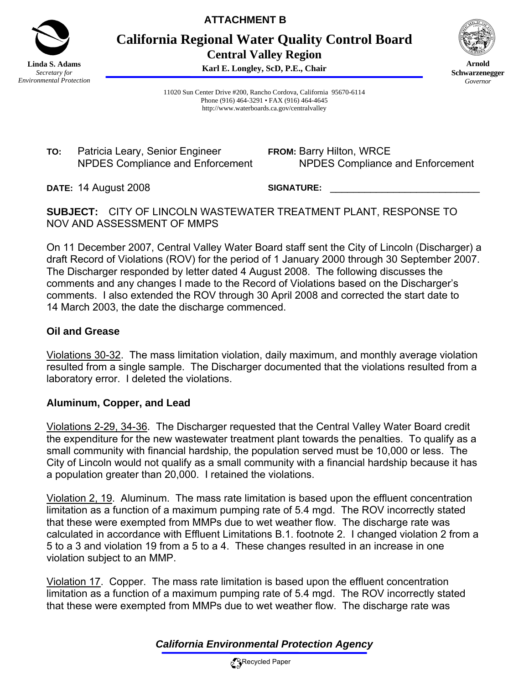

**ATTACHMENT B** 

**California Regional Water Quality Control Board Central Valley Region** 

**Karl E. Longley, ScD, P.E., Chair**



**Arnold Schwarzenegger** *Governor* 

11020 Sun Center Drive #200, Rancho Cordova, California 95670-6114 Phone (916) 464-3291 • FAX (916) 464-4645 http://www.waterboards.ca.gov/centralvalley

**TO:** Patricia Leary, Senior Engineer NPDES Compliance and Enforcement **FROM:** Barry Hilton, WRCE NPDES Compliance and Enforcement

**DATE:** 14 August 2008

SIGNATURE:

**SUBJECT:** CITY OF LINCOLN WASTEWATER TREATMENT PLANT, RESPONSE TO NOV AND ASSESSMENT OF MMPS

On 11 December 2007, Central Valley Water Board staff sent the City of Lincoln (Discharger) a draft Record of Violations (ROV) for the period of 1 January 2000 through 30 September 2007. The Discharger responded by letter dated 4 August 2008. The following discusses the comments and any changes I made to the Record of Violations based on the Discharger's comments. I also extended the ROV through 30 April 2008 and corrected the start date to 14 March 2003, the date the discharge commenced.

# **Oil and Grease**

Violations 30-32. The mass limitation violation, daily maximum, and monthly average violation resulted from a single sample. The Discharger documented that the violations resulted from a laboratory error. I deleted the violations.

# **Aluminum, Copper, and Lead**

Violations 2-29, 34-36. The Discharger requested that the Central Valley Water Board credit the expenditure for the new wastewater treatment plant towards the penalties. To qualify as a small community with financial hardship, the population served must be 10,000 or less. The City of Lincoln would not qualify as a small community with a financial hardship because it has a population greater than 20,000. I retained the violations.

Violation 2, 19. Aluminum. The mass rate limitation is based upon the effluent concentration limitation as a function of a maximum pumping rate of 5.4 mgd. The ROV incorrectly stated that these were exempted from MMPs due to wet weather flow. The discharge rate was calculated in accordance with Effluent Limitations B.1. footnote 2. I changed violation 2 from a 5 to a 3 and violation 19 from a 5 to a 4. These changes resulted in an increase in one violation subject to an MMP.

Violation 17. Copper. The mass rate limitation is based upon the effluent concentration limitation as a function of a maximum pumping rate of 5.4 mgd. The ROV incorrectly stated that these were exempted from MMPs due to wet weather flow. The discharge rate was

# *California Environmental Protection Agency*

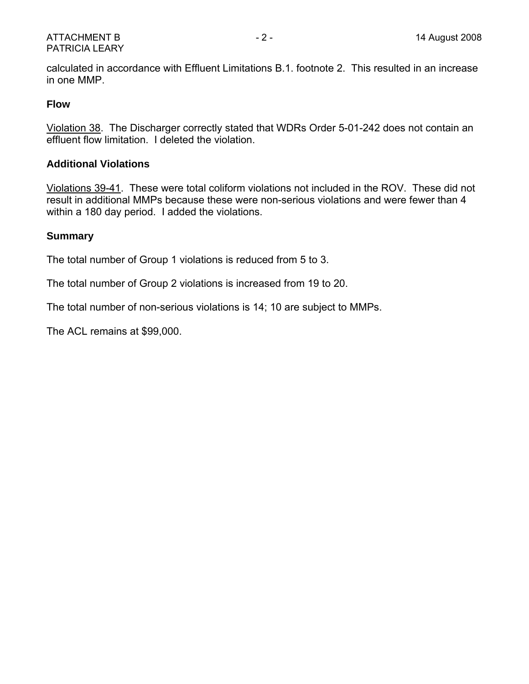### ATTACHMENT B 14 August 2008 PATRICIA LEARY

calculated in accordance with Effluent Limitations B.1. footnote 2. This resulted in an increase in one MMP.

# **Flow**

Violation 38. The Discharger correctly stated that WDRs Order 5-01-242 does not contain an effluent flow limitation. I deleted the violation.

# **Additional Violations**

Violations 39-41. These were total coliform violations not included in the ROV. These did not result in additional MMPs because these were non-serious violations and were fewer than 4 within a 180 day period. I added the violations.

### **Summary**

The total number of Group 1 violations is reduced from 5 to 3.

The total number of Group 2 violations is increased from 19 to 20.

The total number of non-serious violations is 14; 10 are subject to MMPs.

The ACL remains at \$99,000.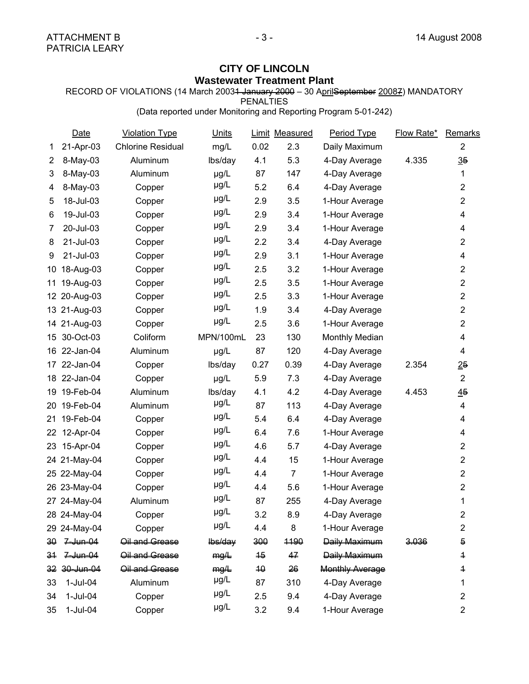# **CITY OF LINCOLN Wastewater Treatment Plant**

RECORD OF VIOLATIONS (14 March 2003<del>1 January 2000</del> – 30 April September 20087) MANDATORY

**PENALTIES** 

(Data reported under Monitoring and Reporting Program 5-01-242)

|                | <b>Date</b>  | <b>Violation Type</b>    | <b>Units</b> |                 | <b>Limit Measured</b> | Period Type     | Flow Rate* | Remarks                 |
|----------------|--------------|--------------------------|--------------|-----------------|-----------------------|-----------------|------------|-------------------------|
| 1.             | 21-Apr-03    | <b>Chlorine Residual</b> | mg/L         | 0.02            | 2.3                   | Daily Maximum   |            | $\overline{2}$          |
| $\overline{2}$ | 8-May-03     | Aluminum                 | lbs/day      | 4.1             | 5.3                   | 4-Day Average   | 4.335      | 35                      |
| 3              | 8-May-03     | Aluminum                 | $\mu$ g/L    | 87              | 147                   | 4-Day Average   |            | 1                       |
| 4              | 8-May-03     | Copper                   | µg/L         | 5.2             | 6.4                   | 4-Day Average   |            | $\overline{c}$          |
| 5              | 18-Jul-03    | Copper                   | µg/L         | 2.9             | 3.5                   | 1-Hour Average  |            | $\overline{2}$          |
| 6              | 19-Jul-03    | Copper                   | µg/L         | 2.9             | 3.4                   | 1-Hour Average  |            | 4                       |
| 7              | 20-Jul-03    | Copper                   | µg/L         | 2.9             | 3.4                   | 1-Hour Average  |            | $\overline{\mathbf{4}}$ |
| 8              | 21-Jul-03    | Copper                   | µg/L         | 2.2             | 3.4                   | 4-Day Average   |            | $\overline{2}$          |
| 9              | 21-Jul-03    | Copper                   | µg/L         | 2.9             | 3.1                   | 1-Hour Average  |            | 4                       |
| 10             | 18-Aug-03    | Copper                   | µg/L         | 2.5             | 3.2                   | 1-Hour Average  |            | $\overline{c}$          |
| 11             | 19-Aug-03    | Copper                   | µg/L         | 2.5             | 3.5                   | 1-Hour Average  |            | $\overline{2}$          |
|                | 12 20-Aug-03 | Copper                   | µg/L         | 2.5             | 3.3                   | 1-Hour Average  |            | $\overline{c}$          |
|                | 13 21-Aug-03 | Copper                   | µg/L         | 1.9             | 3.4                   | 4-Day Average   |            | $\mathbf{2}$            |
| 14             | 21-Aug-03    | Copper                   | µg/L         | 2.5             | 3.6                   | 1-Hour Average  |            | $\overline{2}$          |
| 15             | 30-Oct-03    | Coliform                 | MPN/100mL    | 23              | 130                   | Monthly Median  |            | 4                       |
|                | 16 22-Jan-04 | Aluminum                 | µg/L         | 87              | 120                   | 4-Day Average   |            | 4                       |
|                | 17 22-Jan-04 | Copper                   | lbs/day      | 0.27            | 0.39                  | 4-Day Average   | 2.354      | 25                      |
|                | 18 22-Jan-04 | Copper                   | µg/L         | 5.9             | 7.3                   | 4-Day Average   |            | $\overline{2}$          |
| 19             | 19-Feb-04    | Aluminum                 | lbs/day      | 4.1             | 4.2                   | 4-Day Average   | 4.453      | 45                      |
|                | 20 19-Feb-04 | Aluminum                 | µg/L         | 87              | 113                   | 4-Day Average   |            | 4                       |
| 21             | 19-Feb-04    | Copper                   | µg/L         | 5.4             | 6.4                   | 4-Day Average   |            | 4                       |
| 22             | 12-Apr-04    | Copper                   | µg/L         | 6.4             | 7.6                   | 1-Hour Average  |            | 4                       |
| 23             | 15-Apr-04    | Copper                   | µg/L         | 4.6             | 5.7                   | 4-Day Average   |            | $\overline{2}$          |
|                | 24 21-May-04 | Copper                   | µg/L         | 4.4             | 15                    | 1-Hour Average  |            | $\overline{2}$          |
|                | 25 22-May-04 | Copper                   | µg/L         | 4.4             | $\overline{7}$        | 1-Hour Average  |            | $\overline{c}$          |
|                | 26 23-May-04 | Copper                   | µg/L         | 4.4             | 5.6                   | 1-Hour Average  |            | $\overline{2}$          |
|                | 27 24-May-04 | Aluminum                 | µg/L         | 87              | 255                   | 4-Day Average   |            | 1                       |
|                | 28 24-May-04 | Copper                   | µg/L         | 3.2             | 8.9                   | 4-Day Average   |            | $\overline{2}$          |
|                | 29 24-May-04 | Copper                   | $\mu g/L$    | 4.4             | 8                     | 1-Hour Average  |            | $\overline{2}$          |
| 30             | 7 Jun 04     | Oil and Grease           | lbs/day      | 300             | 4490                  | Daily Maximum   | 3.036      | 5                       |
| 31             | $7$ Jun $04$ | Oil and Grease           | mg/L         | $\overline{15}$ | 47                    | Daily Maximum   |            | 4                       |
| 32             | 30-Jun-04    | Oil and Grease           | mg/L         | 40              | 26                    | Monthly Average |            | $\overline{\mathbf{1}}$ |
| 33             | 1-Jul-04     | Aluminum                 | µg/L         | 87              | 310                   | 4-Day Average   |            | 1                       |
| 34             | 1-Jul-04     | Copper                   | µg/L         | 2.5             | 9.4                   | 4-Day Average   |            | 2                       |
| 35             | $1$ -Jul-04  | Copper                   | µg/L         | 3.2             | 9.4                   | 1-Hour Average  |            | $\overline{c}$          |